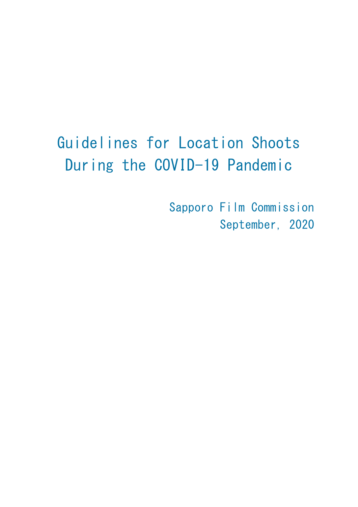# Guidelines for Location Shoots During the COVID-19 Pandemic

Sapporo Film Commission September, 2020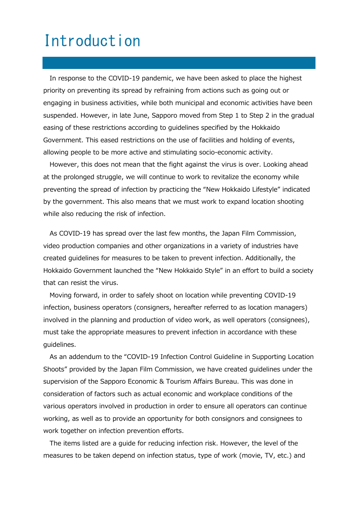## Introduction

In response to the COVID-19 pandemic, we have been asked to place the highest priority on preventing its spread by refraining from actions such as going out or engaging in business activities, while both municipal and economic activities have been suspended. However, in late June, Sapporo moved from Step 1 to Step 2 in the gradual easing of these restrictions according to guidelines specified by the Hokkaido Government. This eased restrictions on the use of facilities and holding of events, allowing people to be more active and stimulating socio-economic activity.

However, this does not mean that the fight against the virus is over. Looking ahead at the prolonged struggle, we will continue to work to revitalize the economy while preventing the spread of infection by practicing the "New Hokkaido Lifestyle" indicated by the government. This also means that we must work to expand location shooting while also reducing the risk of infection.

As COVID-19 has spread over the last few months, the Japan Film Commission, video production companies and other organizations in a variety of industries have created guidelines for measures to be taken to prevent infection. Additionally, the Hokkaido Government launched the "New Hokkaido Style" in an effort to build a society that can resist the virus.

Moving forward, in order to safely shoot on location while preventing COVID-19 infection, business operators (consigners, hereafter referred to as location managers) involved in the planning and production of video work, as well operators (consignees), must take the appropriate measures to prevent infection in accordance with these guidelines.

As an addendum to the "COVID-19 Infection Control Guideline in Supporting Location Shoots" provided by the Japan Film Commission, we have created guidelines under the supervision of the Sapporo Economic & Tourism Affairs Bureau. This was done in consideration of factors such as actual economic and workplace conditions of the various operators involved in production in order to ensure all operators can continue working, as well as to provide an opportunity for both consignors and consignees to work together on infection prevention efforts.

The items listed are a guide for reducing infection risk. However, the level of the measures to be taken depend on infection status, type of work (movie, TV, etc.) and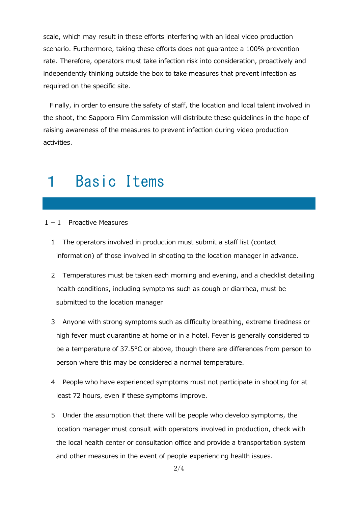scale, which may result in these efforts interfering with an ideal video production scenario. Furthermore, taking these efforts does not guarantee a 100% prevention rate. Therefore, operators must take infection risk into consideration, proactively and independently thinking outside the box to take measures that prevent infection as required on the specific site.

Finally, in order to ensure the safety of staff, the location and local talent involved in the shoot, the Sapporo Film Commission will distribute these guidelines in the hope of raising awareness of the measures to prevent infection during video production activities.

## 1 Basic Items

### 1-1 Proactive Measures

- 1 The operators involved in production must submit a staff list (contact information) of those involved in shooting to the location manager in advance.
- 2 Temperatures must be taken each morning and evening, and a checklist detailing health conditions, including symptoms such as cough or diarrhea, must be submitted to the location manager
- 3 Anyone with strong symptoms such as difficulty breathing, extreme tiredness or high fever must quarantine at home or in a hotel. Fever is generally considered to be a temperature of 37.5°C or above, though there are differences from person to person where this may be considered a normal temperature.
- 4 People who have experienced symptoms must not participate in shooting for at least 72 hours, even if these symptoms improve.
- 5 Under the assumption that there will be people who develop symptoms, the location manager must consult with operators involved in production, check with the local health center or consultation office and provide a transportation system and other measures in the event of people experiencing health issues.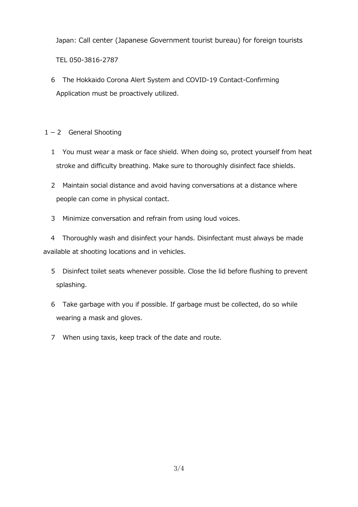Japan: Call center (Japanese Government tourist bureau) for foreign tourists

TEL 050-3816-2787

6 The Hokkaido Corona Alert System and COVID-19 Contact-Confirming Application must be proactively utilized.

 $1-2$  General Shooting

- 1 You must wear a mask or face shield. When doing so, protect yourself from heat stroke and difficulty breathing. Make sure to thoroughly disinfect face shields.
- 2 Maintain social distance and avoid having conversations at a distance where people can come in physical contact.
- 3 Minimize conversation and refrain from using loud voices.

4 Thoroughly wash and disinfect your hands. Disinfectant must always be made available at shooting locations and in vehicles.

- 5 Disinfect toilet seats whenever possible. Close the lid before flushing to prevent splashing.
- 6 Take garbage with you if possible. If garbage must be collected, do so while wearing a mask and gloves.
- 7 When using taxis, keep track of the date and route.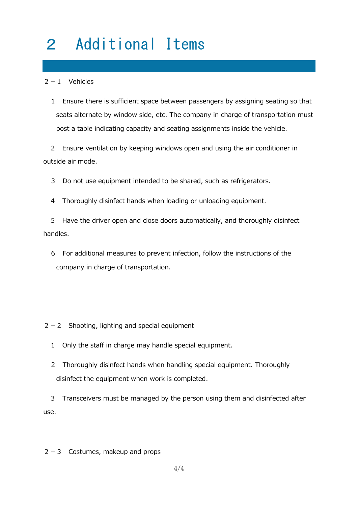# 2 Additional Items

#### $2 - 1$  Vehicles

1 Ensure there is sufficient space between passengers by assigning seating so that seats alternate by window side, etc. The company in charge of transportation must post a table indicating capacity and seating assignments inside the vehicle.

2 Ensure ventilation by keeping windows open and using the air conditioner in outside air mode.

3 Do not use equipment intended to be shared, such as refrigerators.

4 Thoroughly disinfect hands when loading or unloading equipment.

5 Have the driver open and close doors automatically, and thoroughly disinfect handles.

6 For additional measures to prevent infection, follow the instructions of the company in charge of transportation.

 $2 - 2$  Shooting, lighting and special equipment

1 Only the staff in charge may handle special equipment.

2 Thoroughly disinfect hands when handling special equipment. Thoroughly disinfect the equipment when work is completed.

3 Transceivers must be managed by the person using them and disinfected after use.

 $2-3$  Costumes, makeup and props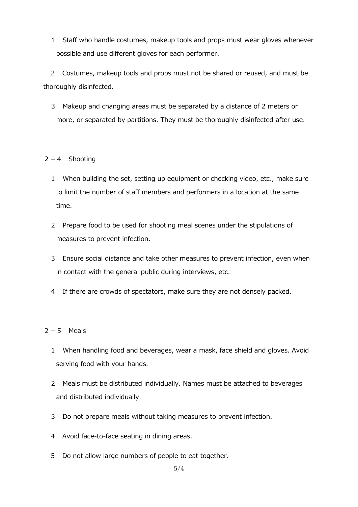1 Staff who handle costumes, makeup tools and props must wear gloves whenever possible and use different gloves for each performer.

2 Costumes, makeup tools and props must not be shared or reused, and must be thoroughly disinfected.

3 Makeup and changing areas must be separated by a distance of 2 meters or more, or separated by partitions. They must be thoroughly disinfected after use.

### $2 - 4$  Shooting

- 1 When building the set, setting up equipment or checking video, etc., make sure to limit the number of staff members and performers in a location at the same time.
- 2 Prepare food to be used for shooting meal scenes under the stipulations of measures to prevent infection.
- 3 Ensure social distance and take other measures to prevent infection, even when in contact with the general public during interviews, etc.
- 4 If there are crowds of spectators, make sure they are not densely packed.

### $2-5$  Meals

- 1 When handling food and beverages, wear a mask, face shield and gloves. Avoid serving food with your hands.
- 2 Meals must be distributed individually. Names must be attached to beverages and distributed individually.
- 3 Do not prepare meals without taking measures to prevent infection.
- 4 Avoid face-to-face seating in dining areas.
- 5 Do not allow large numbers of people to eat together.